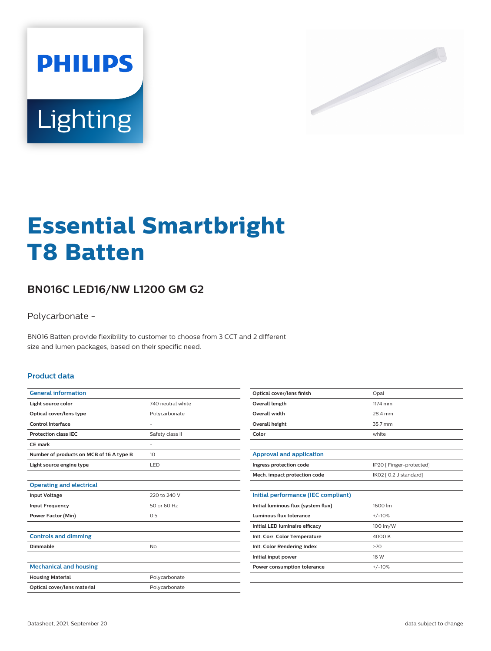



# **Essential Smartbright T8 Batten**

## **BN016C LED16/NW L1200 GM G2**

Polycarbonate -

BN016 Batten provide flexibility to customer to choose from 3 CCT and 2 different size and lumen packages, based on their specific need.

#### **Product data**

| <b>General information</b>               |                   |
|------------------------------------------|-------------------|
| Light source color                       | 740 neutral white |
| Optical cover/lens type                  | Polycarbonate     |
| Control interface                        |                   |
| <b>Protection class IEC</b>              | Safety class II   |
| CF mark                                  | ٠                 |
| Number of products on MCB of 16 A type B | 10                |
| Light source engine type                 | LED               |
|                                          |                   |
| <b>Operating and electrical</b>          |                   |
| <b>Input Voltage</b>                     | 220 to 240 V      |
| <b>Input Frequency</b>                   | 50 or 60 Hz       |
| <b>Power Factor (Min)</b>                | 0.5               |
|                                          |                   |
| <b>Controls and dimming</b>              |                   |
| Dimmable                                 | No                |
|                                          |                   |
| <b>Mechanical and housing</b>            |                   |
| <b>Housing Material</b>                  | Polycarbonate     |
| Optical cover/lens material              | Polycarbonate     |
|                                          |                   |

| Optical cover/lens finish | Opal    |
|---------------------------|---------|
| Overall length            | 1174 mm |
| Overall width             | 28.4 mm |
| Overall height            | 35.7 mm |
| Color                     | white   |
|                           |         |

| Approval and application     |                          |
|------------------------------|--------------------------|
| Ingress protection code      | IP20 [ Finger-protected] |
| Mech. impact protection code | IK02 [ 0.2 J standard]   |

| 1600 lm  |
|----------|
| $+/-10%$ |
| 100 lm/W |
| 4000 K   |
| >70      |
| 16 W     |
| $+/-10%$ |
|          |